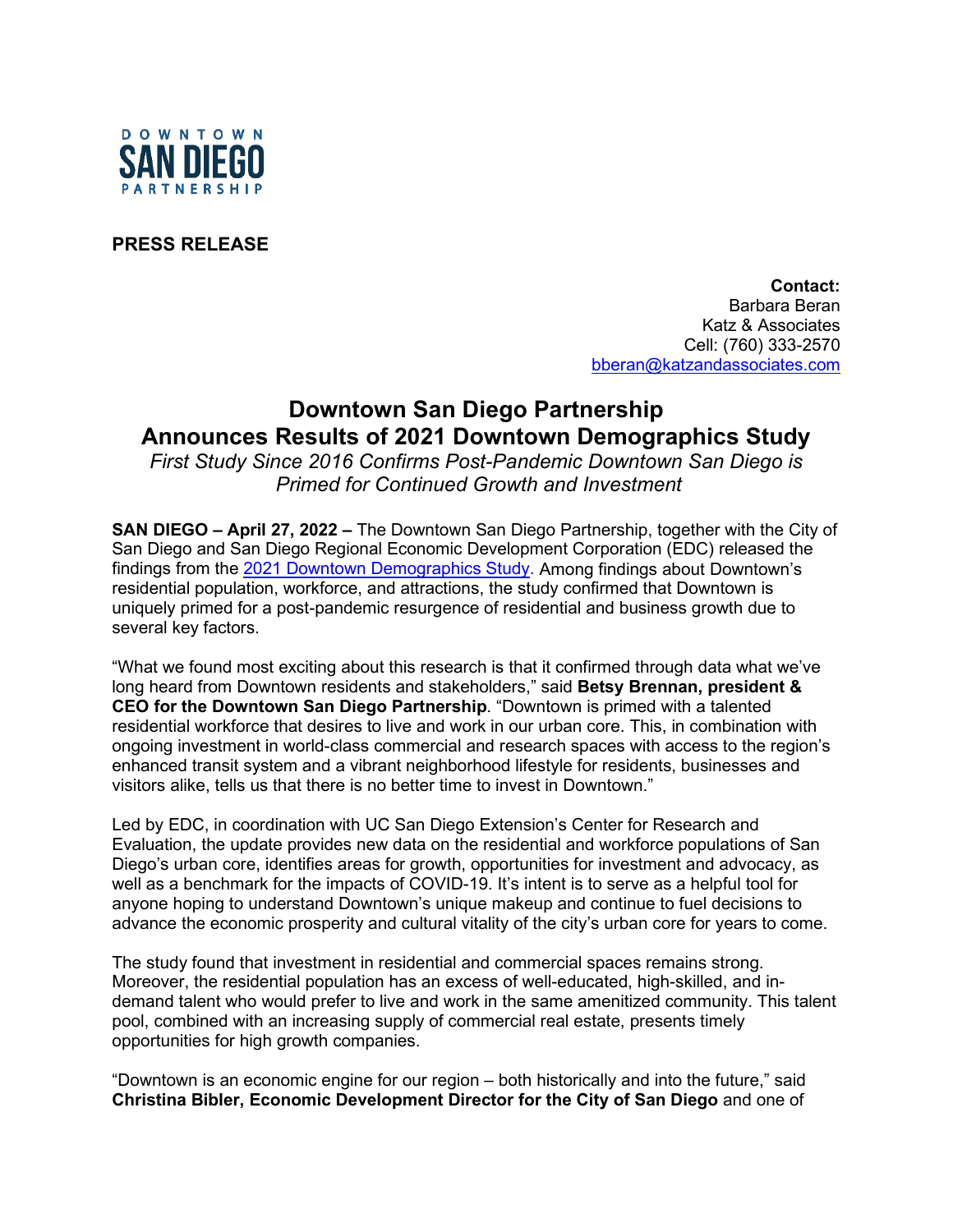

**PRESS RELEASE**

**Contact:**  Barbara Beran Katz & Associates Cell: (760) 333-2570 [bberan@katzandassociates.com](mailto:bberan@katzandassociates.com)

## **Downtown San Diego Partnership Announces Results of 2021 Downtown Demographics Study**

*First Study Since 2016 Confirms Post-Pandemic Downtown San Diego is Primed for Continued Growth and Investment*

**SAN DIEGO – April 27, 2022 –** The Downtown San Diego Partnership, together with the City of San Diego and San Diego Regional Economic Development Corporation (EDC) released the findings from the [2021 Downtown Demographics Study.](https://downtownsandiego.org/downtown-demographics-study/) Among findings about Downtown's residential population, workforce, and attractions, the study confirmed that Downtown is uniquely primed for a post-pandemic resurgence of residential and business growth due to several key factors.

"What we found most exciting about this research is that it confirmed through data what we've long heard from Downtown residents and stakeholders," said **Betsy Brennan, president & CEO for the Downtown San Diego Partnership**. "Downtown is primed with a talented residential workforce that desires to live and work in our urban core. This, in combination with ongoing investment in world-class commercial and research spaces with access to the region's enhanced transit system and a vibrant neighborhood lifestyle for residents, businesses and visitors alike, tells us that there is no better time to invest in Downtown."

Led by EDC, in coordination with UC San Diego Extension's Center for Research and Evaluation, the update provides new data on the residential and workforce populations of San Diego's urban core, identifies areas for growth, opportunities for investment and advocacy, as well as a benchmark for the impacts of COVID-19. It's intent is to serve as a helpful tool for anyone hoping to understand Downtown's unique makeup and continue to fuel decisions to advance the economic prosperity and cultural vitality of the city's urban core for years to come.

The study found that investment in residential and commercial spaces remains strong. Moreover, the residential population has an excess of well-educated, high-skilled, and indemand talent who would prefer to live and work in the same amenitized community. This talent pool, combined with an increasing supply of commercial real estate, presents timely opportunities for high growth companies.

"Downtown is an economic engine for our region – both historically and into the future," said **Christina Bibler, Economic Development Director for the City of San Diego** and one of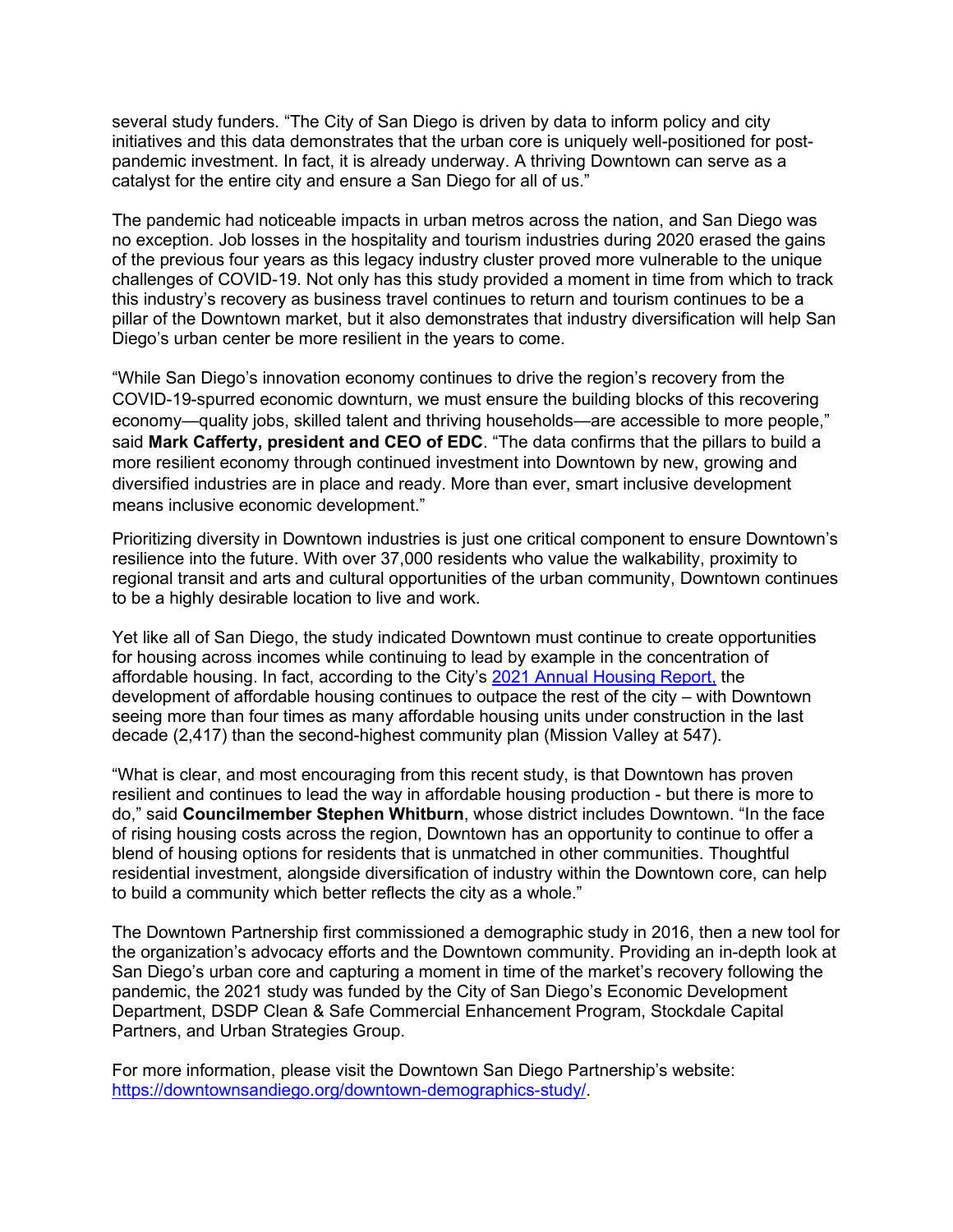several study funders. "The City of San Diego is driven by data to inform policy and city initiatives and this data demonstrates that the urban core is uniquely well-positioned for postpandemic investment. In fact, it is already underway. A thriving Downtown can serve as a catalyst for the entire city and ensure a San Diego for all of us."

The pandemic had noticeable impacts in urban metros across the nation, and San Diego was no exception. Job losses in the hospitality and tourism industries during 2020 erased the gains of the previous four years as this legacy industry cluster proved more vulnerable to the unique challenges of COVID-19. Not only has this study provided a moment in time from which to track this industry's recovery as business travel continues to return and tourism continues to be a pillar of the Downtown market, but it also demonstrates that industry diversification will help San Diego's urban center be more resilient in the years to come.

"While San Diego's innovation economy continues to drive the region's recovery from the COVID-19-spurred economic downturn, we must ensure the building blocks of this recovering economy—quality jobs, skilled talent and thriving households—are accessible to more people," said **Mark Cafferty, president and CEO of EDC**. "The data confirms that the pillars to build a more resilient economy through continued investment into Downtown by new, growing and diversified industries are in place and ready. More than ever, smart inclusive development means inclusive economic development."

Prioritizing diversity in Downtown industries is just one critical component to ensure Downtown's resilience into the future. With over 37,000 residents who value the walkability, proximity to regional transit and arts and cultural opportunities of the urban community, Downtown continues to be a highly desirable location to live and work.

Yet like all of San Diego, the study indicated Downtown must continue to create opportunities for housing across incomes while continuing to lead by example in the concentration of affordable housing. In fact, according to the City's [2021 Annual Housing Report,](https://www.sandiego.gov/sites/default/files/2021_housing_inventory_report.pdf) the development of affordable housing continues to outpace the rest of the city – with Downtown seeing more than four times as many affordable housing units under construction in the last decade (2,417) than the second-highest community plan (Mission Valley at 547).

"What is clear, and most encouraging from this recent study, is that Downtown has proven resilient and continues to lead the way in affordable housing production - but there is more to do," said **Councilmember Stephen Whitburn**, whose district includes Downtown. "In the face of rising housing costs across the region, Downtown has an opportunity to continue to offer a blend of housing options for residents that is unmatched in other communities. Thoughtful residential investment, alongside diversification of industry within the Downtown core, can help to build a community which better reflects the city as a whole."

The Downtown Partnership first commissioned a demographic study in 2016, then a new tool for the organization's advocacy efforts and the Downtown community. Providing an in-depth look at San Diego's urban core and capturing a moment in time of the market's recovery following the pandemic, the 2021 study was funded by the City of San Diego's Economic Development Department, DSDP Clean & Safe Commercial Enhancement Program, Stockdale Capital Partners, and Urban Strategies Group.

For more information, please visit the Downtown San Diego Partnership's website: [https://downtownsandiego.org/downtown-demographics-study/.](https://downtownsandiego.org/downtown-demographics-study/)